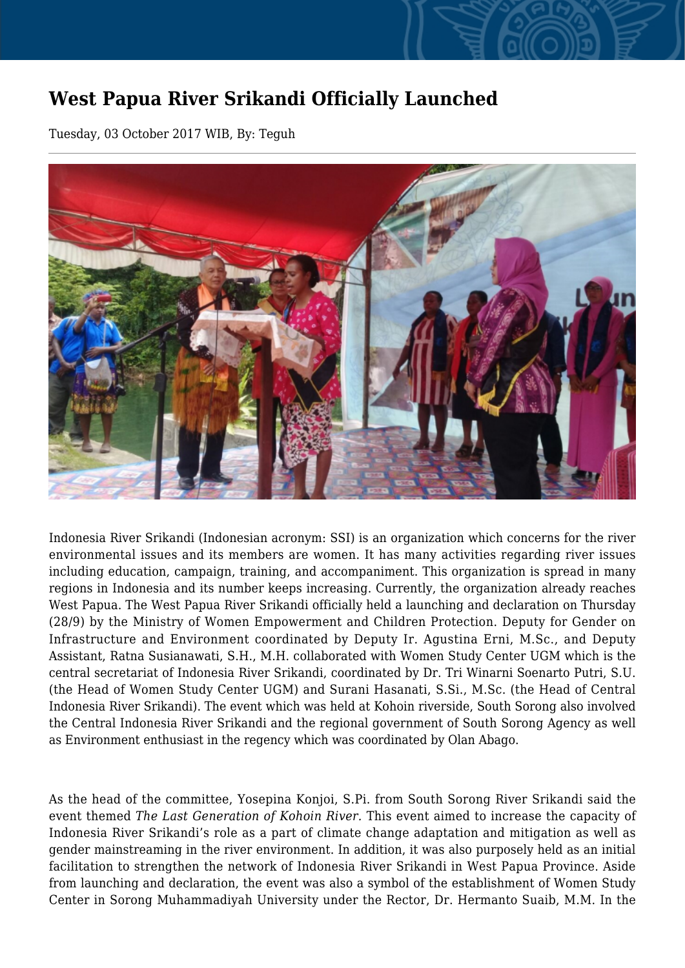## **West Papua River Srikandi Officially Launched**

Tuesday, 03 October 2017 WIB, By: Teguh



Indonesia River Srikandi (Indonesian acronym: SSI) is an organization which concerns for the river environmental issues and its members are women. It has many activities regarding river issues including education, campaign, training, and accompaniment. This organization is spread in many regions in Indonesia and its number keeps increasing. Currently, the organization already reaches West Papua. The West Papua River Srikandi officially held a launching and declaration on Thursday (28/9) by the Ministry of Women Empowerment and Children Protection. Deputy for Gender on Infrastructure and Environment coordinated by Deputy Ir. Agustina Erni, M.Sc., and Deputy Assistant, Ratna Susianawati, S.H., M.H. collaborated with Women Study Center UGM which is the central secretariat of Indonesia River Srikandi, coordinated by Dr. Tri Winarni Soenarto Putri, S.U. (the Head of Women Study Center UGM) and Surani Hasanati, S.Si., M.Sc. (the Head of Central Indonesia River Srikandi). The event which was held at Kohoin riverside, South Sorong also involved the Central Indonesia River Srikandi and the regional government of South Sorong Agency as well as Environment enthusiast in the regency which was coordinated by Olan Abago.

As the head of the committee, Yosepina Konjoi, S.Pi. from South Sorong River Srikandi said the event themed *The Last Generation of Kohoin River.* This event aimed to increase the capacity of Indonesia River Srikandi's role as a part of climate change adaptation and mitigation as well as gender mainstreaming in the river environment. In addition, it was also purposely held as an initial facilitation to strengthen the network of Indonesia River Srikandi in West Papua Province. Aside from launching and declaration, the event was also a symbol of the establishment of Women Study Center in Sorong Muhammadiyah University under the Rector, Dr. Hermanto Suaib, M.M. In the